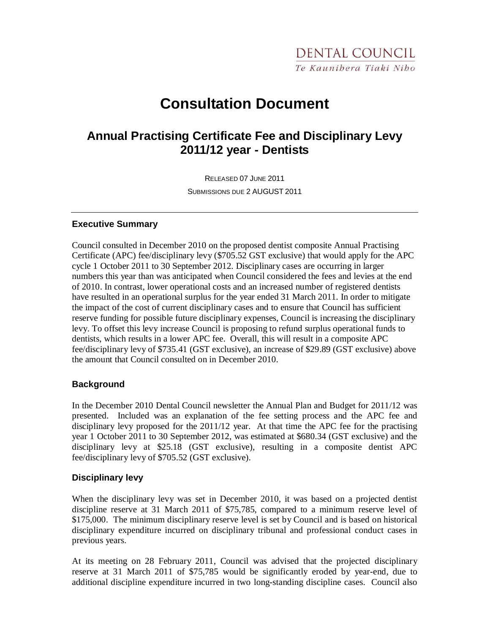# **Consultation Document**

# **Annual Practising Certificate Fee and Disciplinary Levy 2011/12 year - Dentists**

RELEASED 07 JUNE 2011 SUBMISSIONS DUE 2 AUGUST 2011

#### **Executive Summary**

Council consulted in December 2010 on the proposed dentist composite Annual Practising Certificate (APC) fee/disciplinary levy (\$705.52 GST exclusive) that would apply for the APC cycle 1 October 2011 to 30 September 2012. Disciplinary cases are occurring in larger numbers this year than was anticipated when Council considered the fees and levies at the end of 2010. In contrast, lower operational costs and an increased number of registered dentists have resulted in an operational surplus for the year ended 31 March 2011. In order to mitigate the impact of the cost of current disciplinary cases and to ensure that Council has sufficient reserve funding for possible future disciplinary expenses, Council is increasing the disciplinary levy. To offset this levy increase Council is proposing to refund surplus operational funds to dentists, which results in a lower APC fee. Overall, this will result in a composite APC fee/disciplinary levy of \$735.41 (GST exclusive), an increase of \$29.89 (GST exclusive) above the amount that Council consulted on in December 2010.

# **Background**

In the December 2010 Dental Council newsletter the Annual Plan and Budget for 2011/12 was presented. Included was an explanation of the fee setting process and the APC fee and disciplinary levy proposed for the 2011/12 year. At that time the APC fee for the practising year 1 October 2011 to 30 September 2012, was estimated at \$680.34 (GST exclusive) and the disciplinary levy at \$25.18 (GST exclusive), resulting in a composite dentist APC fee/disciplinary levy of \$705.52 (GST exclusive).

#### **Disciplinary levy**

When the disciplinary levy was set in December 2010, it was based on a projected dentist discipline reserve at 31 March 2011 of \$75,785, compared to a minimum reserve level of \$175,000. The minimum disciplinary reserve level is set by Council and is based on historical disciplinary expenditure incurred on disciplinary tribunal and professional conduct cases in previous years.

At its meeting on 28 February 2011, Council was advised that the projected disciplinary reserve at 31 March 2011 of \$75,785 would be significantly eroded by year-end, due to additional discipline expenditure incurred in two long-standing discipline cases. Council also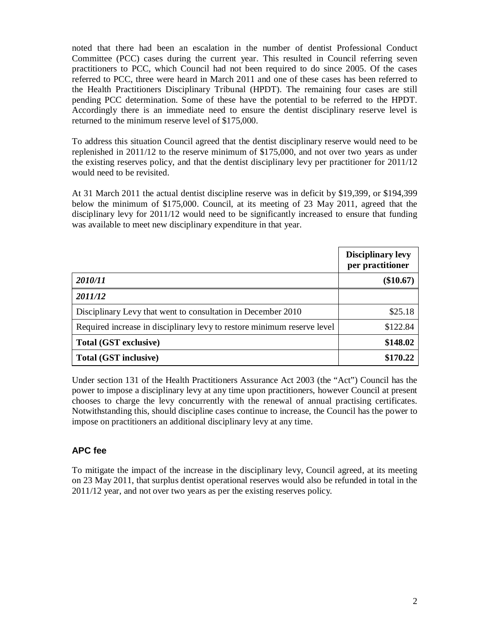noted that there had been an escalation in the number of dentist Professional Conduct Committee (PCC) cases during the current year. This resulted in Council referring seven practitioners to PCC, which Council had not been required to do since 2005. Of the cases referred to PCC, three were heard in March 2011 and one of these cases has been referred to the Health Practitioners Disciplinary Tribunal (HPDT). The remaining four cases are still pending PCC determination. Some of these have the potential to be referred to the HPDT. Accordingly there is an immediate need to ensure the dentist disciplinary reserve level is returned to the minimum reserve level of \$175,000.

To address this situation Council agreed that the dentist disciplinary reserve would need to be replenished in 2011/12 to the reserve minimum of \$175,000, and not over two years as under the existing reserves policy, and that the dentist disciplinary levy per practitioner for 2011/12 would need to be revisited.

At 31 March 2011 the actual dentist discipline reserve was in deficit by \$19,399, or \$194,399 below the minimum of \$175,000. Council, at its meeting of 23 May 2011, agreed that the disciplinary levy for 2011/12 would need to be significantly increased to ensure that funding was available to meet new disciplinary expenditure in that year.

|                                                                         | <b>Disciplinary levy</b><br>per practitioner |
|-------------------------------------------------------------------------|----------------------------------------------|
| 2010/11                                                                 | $(\$10.67)$                                  |
| 2011/12                                                                 |                                              |
| Disciplinary Levy that went to consultation in December 2010            | \$25.18                                      |
| Required increase in disciplinary levy to restore minimum reserve level | \$122.84                                     |
| <b>Total (GST exclusive)</b>                                            | \$148.02                                     |
| Total (GST inclusive)                                                   | \$170.22                                     |

Under section 131 of the Health Practitioners Assurance Act 2003 (the "Act") Council has the power to impose a disciplinary levy at any time upon practitioners, however Council at present chooses to charge the levy concurrently with the renewal of annual practising certificates. Notwithstanding this, should discipline cases continue to increase, the Council has the power to impose on practitioners an additional disciplinary levy at any time.

# **APC fee**

To mitigate the impact of the increase in the disciplinary levy, Council agreed, at its meeting on 23 May 2011, that surplus dentist operational reserves would also be refunded in total in the 2011/12 year, and not over two years as per the existing reserves policy.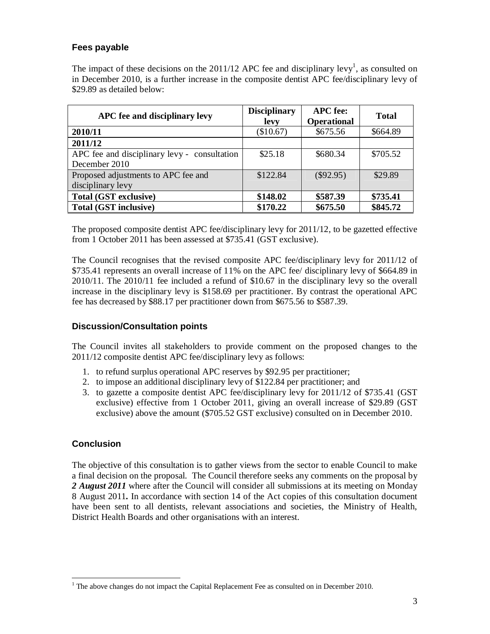# **Fees payable**

The impact of these decisions on the 2011/12 APC fee and disciplinary levy<sup>1</sup>, as consulted on in December 2010, is a further increase in the composite dentist APC fee/disciplinary levy of \$29.89 as detailed below:

| APC fee and disciplinary levy                                 | <b>Disciplinary</b><br>levy | <b>APC</b> fee:<br><b>Operational</b> | <b>Total</b> |
|---------------------------------------------------------------|-----------------------------|---------------------------------------|--------------|
| 2010/11                                                       | (\$10.67)                   | \$675.56                              | \$664.89     |
| 2011/12                                                       |                             |                                       |              |
| APC fee and disciplinary levy - consultation<br>December 2010 | \$25.18                     | \$680.34                              | \$705.52     |
| Proposed adjustments to APC fee and<br>disciplinary levy      | \$122.84                    | $(\$92.95)$                           | \$29.89      |
| Total (GST exclusive)                                         | \$148.02                    | \$587.39                              | \$735.41     |
| <b>Total (GST inclusive)</b>                                  | \$170.22                    | \$675.50                              | \$845.72     |

The proposed composite dentist APC fee/disciplinary levy for 2011/12, to be gazetted effective from 1 October 2011 has been assessed at \$735.41 (GST exclusive).

The Council recognises that the revised composite APC fee/disciplinary levy for 2011/12 of \$735.41 represents an overall increase of 11% on the APC fee/ disciplinary levy of \$664.89 in 2010/11. The 2010/11 fee included a refund of \$10.67 in the disciplinary levy so the overall increase in the disciplinary levy is \$158.69 per practitioner. By contrast the operational APC fee has decreased by \$88.17 per practitioner down from \$675.56 to \$587.39.

# **Discussion/Consultation points**

The Council invites all stakeholders to provide comment on the proposed changes to the 2011/12 composite dentist APC fee/disciplinary levy as follows:

- 1. to refund surplus operational APC reserves by \$92.95 per practitioner;
- 2. to impose an additional disciplinary levy of \$122.84 per practitioner; and
- 3. to gazette a composite dentist APC fee/disciplinary levy for 2011/12 of \$735.41 (GST exclusive) effective from 1 October 2011, giving an overall increase of \$29.89 (GST exclusive) above the amount (\$705.52 GST exclusive) consulted on in December 2010.

# **Conclusion**

The objective of this consultation is to gather views from the sector to enable Council to make a final decision on the proposal. The Council therefore seeks any comments on the proposal by 2 *August 2011* where after the Council will consider all submissions at its meeting on Monday 8 August 2011*.* In accordance with section 14 of the Act copies of this consultation document have been sent to all dentists, relevant associations and societies, the Ministry of Health, District Health Boards and other organisations with an interest.

The above changes do not impact the Capital Replacement Fee as consulted on in December 2010.